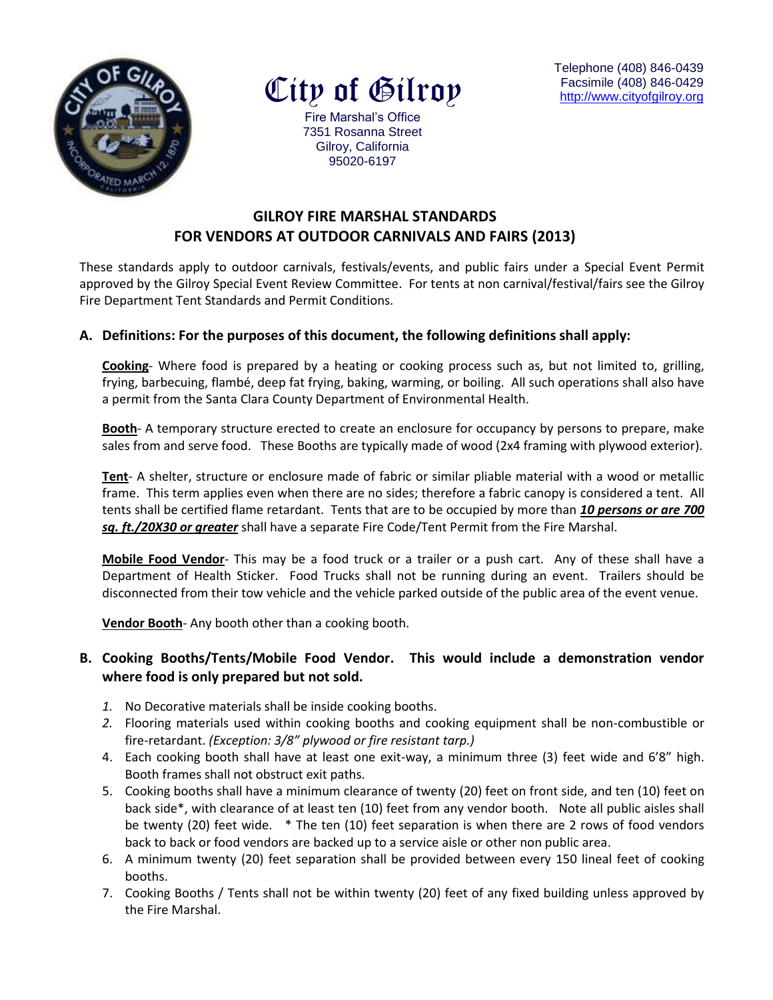

City of Gilroy

Telephone (408) 846-0439 Facsimile (408) 846-0429 [http://www.cityofg](http://www.cityof/)ilroy.org

Fire Marshal's Office 7351 Rosanna Street Gilroy, California 95020-6197

# **GILROY FIRE MARSHAL STANDARDS FOR VENDORS AT OUTDOOR CARNIVALS AND FAIRS (2013)**

These standards apply to outdoor carnivals, festivals/events, and public fairs under a Special Event Permit approved by the Gilroy Special Event Review Committee. For tents at non carnival/festival/fairs see the Gilroy Fire Department Tent Standards and Permit Conditions.

#### **A. Definitions: For the purposes of this document, the following definitions shall apply:**

**Cooking**- Where food is prepared by a heating or cooking process such as, but not limited to, grilling, frying, barbecuing, flambé, deep fat frying, baking, warming, or boiling. All such operations shall also have a permit from the Santa Clara County Department of Environmental Health.

**Booth**- A temporary structure erected to create an enclosure for occupancy by persons to prepare, make sales from and serve food. These Booths are typically made of wood (2x4 framing with plywood exterior).

**Tent**- A shelter, structure or enclosure made of fabric or similar pliable material with a wood or metallic frame. This term applies even when there are no sides; therefore a fabric canopy is considered a tent. All tents shall be certified flame retardant. Tents that are to be occupied by more than *10 persons or are 700 sq. ft./20X30 or greater* shall have a separate Fire Code/Tent Permit from the Fire Marshal.

**Mobile Food Vendor**- This may be a food truck or a trailer or a push cart. Any of these shall have a Department of Health Sticker. Food Trucks shall not be running during an event. Trailers should be disconnected from their tow vehicle and the vehicle parked outside of the public area of the event venue.

**Vendor Booth**- Any booth other than a cooking booth.

### **B. Cooking Booths/Tents/Mobile Food Vendor. This would include a demonstration vendor where food is only prepared but not sold.**

- *1.* No Decorative materials shall be inside cooking booths.
- *2.* Flooring materials used within cooking booths and cooking equipment shall be non-combustible or fire-retardant. *(Exception: 3/8" plywood or fire resistant tarp.)*
- 4. Each cooking booth shall have at least one exit-way, a minimum three (3) feet wide and 6'8" high. Booth frames shall not obstruct exit paths.
- 5. Cooking booths shall have a minimum clearance of twenty (20) feet on front side, and ten (10) feet on back side\*, with clearance of at least ten (10) feet from any vendor booth. Note all public aisles shall be twenty (20) feet wide. \* The ten (10) feet separation is when there are 2 rows of food vendors back to back or food vendors are backed up to a service aisle or other non public area.
- 6. A minimum twenty (20) feet separation shall be provided between every 150 lineal feet of cooking booths.
- 7. Cooking Booths / Tents shall not be within twenty (20) feet of any fixed building unless approved by the Fire Marshal.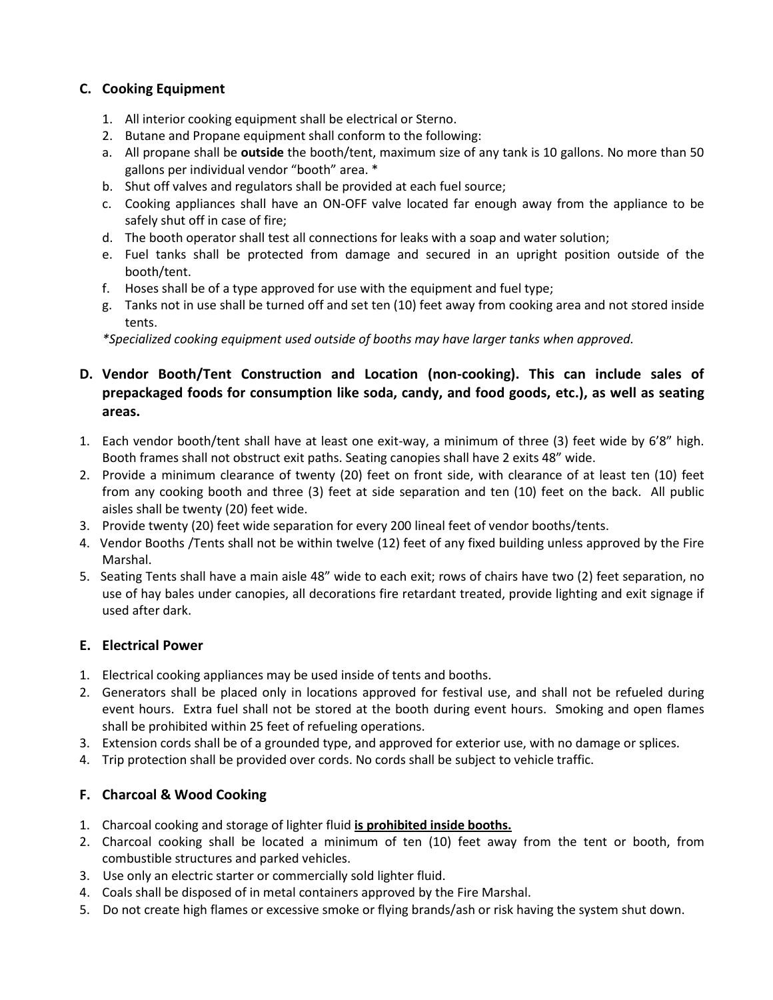# **C. Cooking Equipment**

- 1. All interior cooking equipment shall be electrical or Sterno.
- 2. Butane and Propane equipment shall conform to the following:
- a. All propane shall be **outside** the booth/tent, maximum size of any tank is 10 gallons. No more than 50 gallons per individual vendor "booth" area. \*
- b. Shut off valves and regulators shall be provided at each fuel source;
- c. Cooking appliances shall have an ON-OFF valve located far enough away from the appliance to be safely shut off in case of fire;
- d. The booth operator shall test all connections for leaks with a soap and water solution;
- e. Fuel tanks shall be protected from damage and secured in an upright position outside of the booth/tent.
- f. Hoses shall be of a type approved for use with the equipment and fuel type;
- g. Tanks not in use shall be turned off and set ten (10) feet away from cooking area and not stored inside tents.

*\*Specialized cooking equipment used outside of booths may have larger tanks when approved.* 

# **D. Vendor Booth/Tent Construction and Location (non-cooking). This can include sales of prepackaged foods for consumption like soda, candy, and food goods, etc.), as well as seating areas.**

- 1. Each vendor booth/tent shall have at least one exit-way, a minimum of three (3) feet wide by 6'8" high. Booth frames shall not obstruct exit paths. Seating canopies shall have 2 exits 48" wide.
- 2. Provide a minimum clearance of twenty (20) feet on front side, with clearance of at least ten (10) feet from any cooking booth and three (3) feet at side separation and ten (10) feet on the back. All public aisles shall be twenty (20) feet wide.
- 3. Provide twenty (20) feet wide separation for every 200 lineal feet of vendor booths/tents.
- 4. Vendor Booths /Tents shall not be within twelve (12) feet of any fixed building unless approved by the Fire Marshal.
- 5. Seating Tents shall have a main aisle 48" wide to each exit; rows of chairs have two (2) feet separation, no use of hay bales under canopies, all decorations fire retardant treated, provide lighting and exit signage if used after dark.

# **E. Electrical Power**

- 1. Electrical cooking appliances may be used inside of tents and booths.
- 2. Generators shall be placed only in locations approved for festival use, and shall not be refueled during event hours. Extra fuel shall not be stored at the booth during event hours. Smoking and open flames shall be prohibited within 25 feet of refueling operations.
- 3. Extension cords shall be of a grounded type, and approved for exterior use, with no damage or splices.
- 4. Trip protection shall be provided over cords. No cords shall be subject to vehicle traffic.

# **F. Charcoal & Wood Cooking**

- 1. Charcoal cooking and storage of lighter fluid **is prohibited inside booths.**
- 2. Charcoal cooking shall be located a minimum of ten (10) feet away from the tent or booth, from combustible structures and parked vehicles.
- 3. Use only an electric starter or commercially sold lighter fluid.
- 4. Coals shall be disposed of in metal containers approved by the Fire Marshal.
- 5. Do not create high flames or excessive smoke or flying brands/ash or risk having the system shut down.